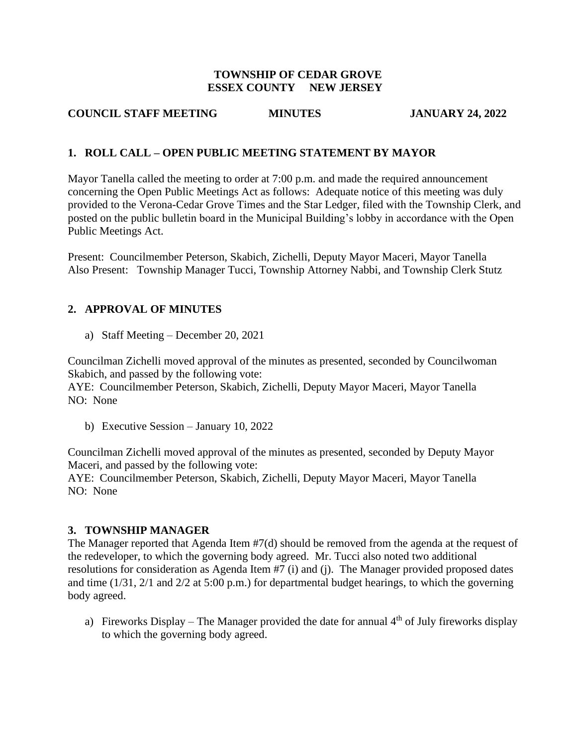#### **TOWNSHIP OF CEDAR GROVE ESSEX COUNTY NEW JERSEY**

## **COUNCIL STAFF MEETING MINUTES JANUARY 24, 2022**

# **1. ROLL CALL – OPEN PUBLIC MEETING STATEMENT BY MAYOR**

Mayor Tanella called the meeting to order at 7:00 p.m. and made the required announcement concerning the Open Public Meetings Act as follows: Adequate notice of this meeting was duly provided to the Verona-Cedar Grove Times and the Star Ledger, filed with the Township Clerk, and posted on the public bulletin board in the Municipal Building's lobby in accordance with the Open Public Meetings Act.

Present: Councilmember Peterson, Skabich, Zichelli, Deputy Mayor Maceri, Mayor Tanella Also Present: Township Manager Tucci, Township Attorney Nabbi, and Township Clerk Stutz

## **2. APPROVAL OF MINUTES**

a) Staff Meeting – December 20, 2021

Councilman Zichelli moved approval of the minutes as presented, seconded by Councilwoman Skabich, and passed by the following vote:

AYE: Councilmember Peterson, Skabich, Zichelli, Deputy Mayor Maceri, Mayor Tanella NO: None

b) Executive Session – January 10, 2022

Councilman Zichelli moved approval of the minutes as presented, seconded by Deputy Mayor Maceri, and passed by the following vote: AYE: Councilmember Peterson, Skabich, Zichelli, Deputy Mayor Maceri, Mayor Tanella NO: None

#### **3. TOWNSHIP MANAGER**

The Manager reported that Agenda Item #7(d) should be removed from the agenda at the request of the redeveloper, to which the governing body agreed. Mr. Tucci also noted two additional resolutions for consideration as Agenda Item #7 (i) and (j). The Manager provided proposed dates and time (1/31, 2/1 and 2/2 at 5:00 p.m.) for departmental budget hearings, to which the governing body agreed.

a) Fireworks Display – The Manager provided the date for annual  $4<sup>th</sup>$  of July fireworks display to which the governing body agreed.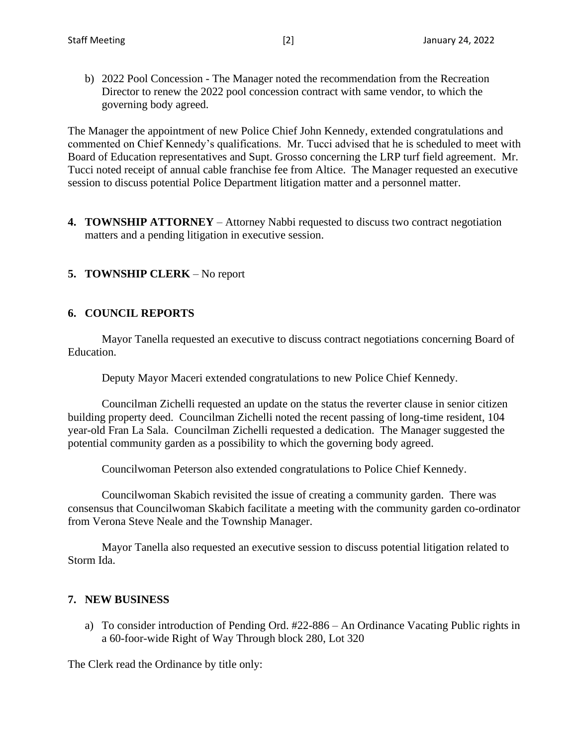b) 2022 Pool Concession - The Manager noted the recommendation from the Recreation Director to renew the 2022 pool concession contract with same vendor, to which the governing body agreed.

The Manager the appointment of new Police Chief John Kennedy, extended congratulations and commented on Chief Kennedy's qualifications. Mr. Tucci advised that he is scheduled to meet with Board of Education representatives and Supt. Grosso concerning the LRP turf field agreement. Mr. Tucci noted receipt of annual cable franchise fee from Altice. The Manager requested an executive session to discuss potential Police Department litigation matter and a personnel matter.

**4. TOWNSHIP ATTORNEY** – Attorney Nabbi requested to discuss two contract negotiation matters and a pending litigation in executive session.

#### **5. TOWNSHIP CLERK** – No report

#### **6. COUNCIL REPORTS**

Mayor Tanella requested an executive to discuss contract negotiations concerning Board of Education.

Deputy Mayor Maceri extended congratulations to new Police Chief Kennedy.

Councilman Zichelli requested an update on the status the reverter clause in senior citizen building property deed. Councilman Zichelli noted the recent passing of long-time resident, 104 year-old Fran La Sala. Councilman Zichelli requested a dedication. The Manager suggested the potential community garden as a possibility to which the governing body agreed.

Councilwoman Peterson also extended congratulations to Police Chief Kennedy.

Councilwoman Skabich revisited the issue of creating a community garden. There was consensus that Councilwoman Skabich facilitate a meeting with the community garden co-ordinator from Verona Steve Neale and the Township Manager.

Mayor Tanella also requested an executive session to discuss potential litigation related to Storm Ida.

#### **7. NEW BUSINESS**

a) To consider introduction of Pending Ord. #22-886 – An Ordinance Vacating Public rights in a 60-foor-wide Right of Way Through block 280, Lot 320

The Clerk read the Ordinance by title only: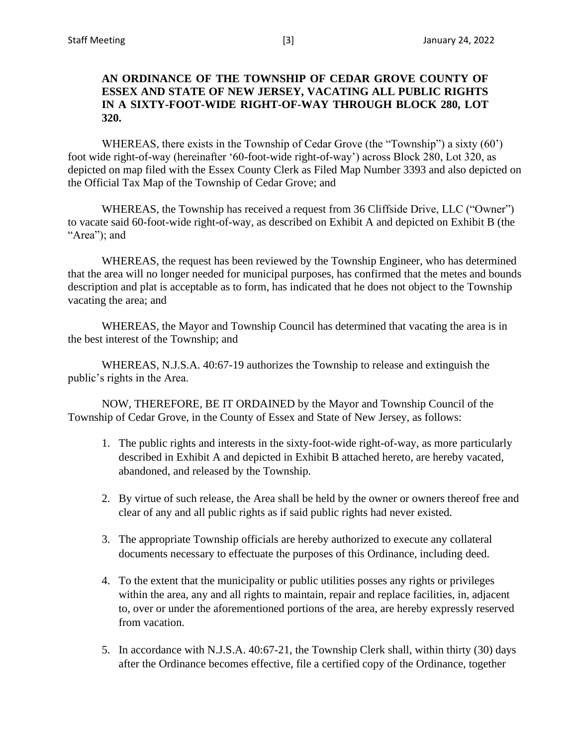## **AN ORDINANCE OF THE TOWNSHIP OF CEDAR GROVE COUNTY OF ESSEX AND STATE OF NEW JERSEY, VACATING ALL PUBLIC RIGHTS IN A SIXTY-FOOT-WIDE RIGHT-OF-WAY THROUGH BLOCK 280, LOT 320.**

WHEREAS, there exists in the Township of Cedar Grove (the "Township") a sixty (60') foot wide right-of-way (hereinafter '60-foot-wide right-of-way') across Block 280, Lot 320, as depicted on map filed with the Essex County Clerk as Filed Map Number 3393 and also depicted on the Official Tax Map of the Township of Cedar Grove; and

WHEREAS, the Township has received a request from 36 Cliffside Drive, LLC ("Owner") to vacate said 60-foot-wide right-of-way, as described on Exhibit A and depicted on Exhibit B (the "Area"); and

WHEREAS, the request has been reviewed by the Township Engineer, who has determined that the area will no longer needed for municipal purposes, has confirmed that the metes and bounds description and plat is acceptable as to form, has indicated that he does not object to the Township vacating the area; and

WHEREAS, the Mayor and Township Council has determined that vacating the area is in the best interest of the Township; and

WHEREAS, N.J.S.A. 40:67-19 authorizes the Township to release and extinguish the public's rights in the Area.

NOW, THEREFORE, BE IT ORDAINED by the Mayor and Township Council of the Township of Cedar Grove, in the County of Essex and State of New Jersey, as follows:

- 1. The public rights and interests in the sixty-foot-wide right-of-way, as more particularly described in Exhibit A and depicted in Exhibit B attached hereto, are hereby vacated, abandoned, and released by the Township.
- 2. By virtue of such release, the Area shall be held by the owner or owners thereof free and clear of any and all public rights as if said public rights had never existed.
- 3. The appropriate Township officials are hereby authorized to execute any collateral documents necessary to effectuate the purposes of this Ordinance, including deed.
- 4. To the extent that the municipality or public utilities posses any rights or privileges within the area, any and all rights to maintain, repair and replace facilities, in, adjacent to, over or under the aforementioned portions of the area, are hereby expressly reserved from vacation.
- 5. In accordance with N.J.S.A. 40:67-21, the Township Clerk shall, within thirty (30) days after the Ordinance becomes effective, file a certified copy of the Ordinance, together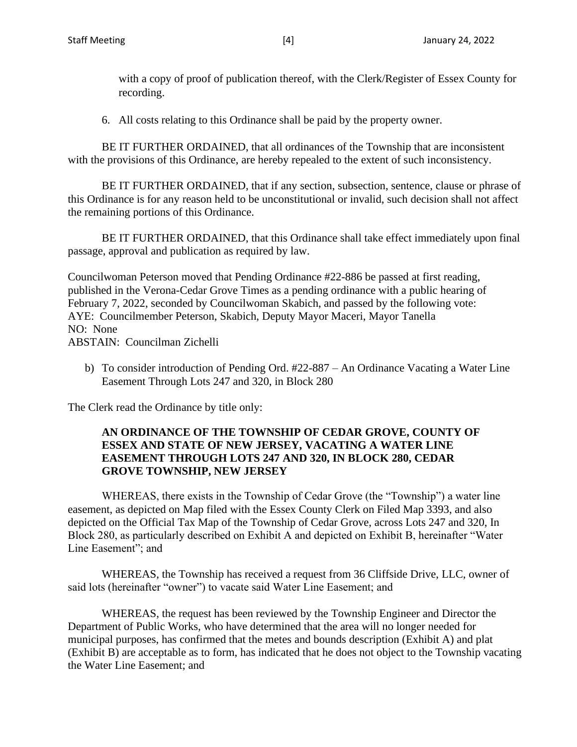with a copy of proof of publication thereof, with the Clerk/Register of Essex County for recording.

6. All costs relating to this Ordinance shall be paid by the property owner.

BE IT FURTHER ORDAINED, that all ordinances of the Township that are inconsistent with the provisions of this Ordinance, are hereby repealed to the extent of such inconsistency.

BE IT FURTHER ORDAINED, that if any section, subsection, sentence, clause or phrase of this Ordinance is for any reason held to be unconstitutional or invalid, such decision shall not affect the remaining portions of this Ordinance.

BE IT FURTHER ORDAINED, that this Ordinance shall take effect immediately upon final passage, approval and publication as required by law.

Councilwoman Peterson moved that Pending Ordinance #22-886 be passed at first reading, published in the Verona-Cedar Grove Times as a pending ordinance with a public hearing of February 7, 2022, seconded by Councilwoman Skabich, and passed by the following vote: AYE: Councilmember Peterson, Skabich, Deputy Mayor Maceri, Mayor Tanella NO: None ABSTAIN: Councilman Zichelli

b) To consider introduction of Pending Ord. #22-887 – An Ordinance Vacating a Water Line Easement Through Lots 247 and 320, in Block 280

The Clerk read the Ordinance by title only:

## **AN ORDINANCE OF THE TOWNSHIP OF CEDAR GROVE, COUNTY OF ESSEX AND STATE OF NEW JERSEY, VACATING A WATER LINE EASEMENT THROUGH LOTS 247 AND 320, IN BLOCK 280, CEDAR GROVE TOWNSHIP, NEW JERSEY**

WHEREAS, there exists in the Township of Cedar Grove (the "Township") a water line easement, as depicted on Map filed with the Essex County Clerk on Filed Map 3393, and also depicted on the Official Tax Map of the Township of Cedar Grove, across Lots 247 and 320, In Block 280, as particularly described on Exhibit A and depicted on Exhibit B, hereinafter "Water Line Easement"; and

WHEREAS, the Township has received a request from 36 Cliffside Drive, LLC, owner of said lots (hereinafter "owner") to vacate said Water Line Easement; and

WHEREAS, the request has been reviewed by the Township Engineer and Director the Department of Public Works, who have determined that the area will no longer needed for municipal purposes, has confirmed that the metes and bounds description (Exhibit A) and plat (Exhibit B) are acceptable as to form, has indicated that he does not object to the Township vacating the Water Line Easement; and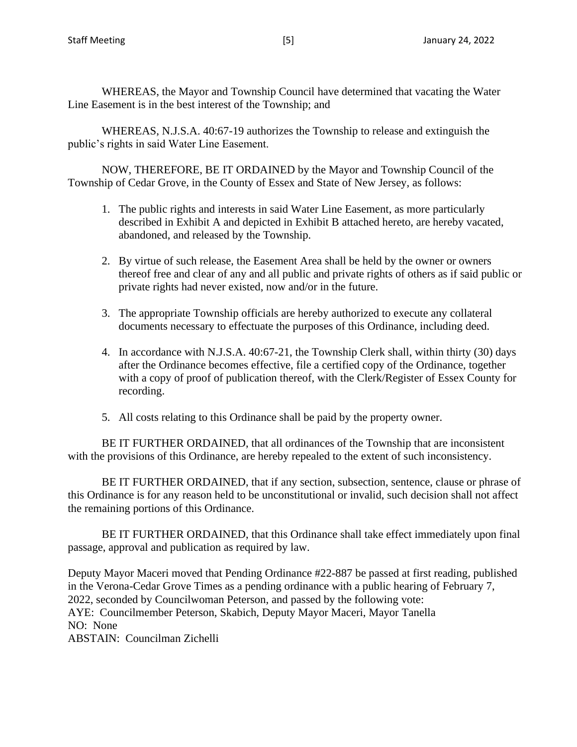WHEREAS, the Mayor and Township Council have determined that vacating the Water Line Easement is in the best interest of the Township; and

WHEREAS, N.J.S.A. 40:67-19 authorizes the Township to release and extinguish the public's rights in said Water Line Easement.

NOW, THEREFORE, BE IT ORDAINED by the Mayor and Township Council of the Township of Cedar Grove, in the County of Essex and State of New Jersey, as follows:

- 1. The public rights and interests in said Water Line Easement, as more particularly described in Exhibit A and depicted in Exhibit B attached hereto, are hereby vacated, abandoned, and released by the Township.
- 2. By virtue of such release, the Easement Area shall be held by the owner or owners thereof free and clear of any and all public and private rights of others as if said public or private rights had never existed, now and/or in the future.
- 3. The appropriate Township officials are hereby authorized to execute any collateral documents necessary to effectuate the purposes of this Ordinance, including deed.
- 4. In accordance with N.J.S.A. 40:67-21, the Township Clerk shall, within thirty (30) days after the Ordinance becomes effective, file a certified copy of the Ordinance, together with a copy of proof of publication thereof, with the Clerk/Register of Essex County for recording.
- 5. All costs relating to this Ordinance shall be paid by the property owner.

BE IT FURTHER ORDAINED, that all ordinances of the Township that are inconsistent with the provisions of this Ordinance, are hereby repealed to the extent of such inconsistency.

BE IT FURTHER ORDAINED, that if any section, subsection, sentence, clause or phrase of this Ordinance is for any reason held to be unconstitutional or invalid, such decision shall not affect the remaining portions of this Ordinance.

BE IT FURTHER ORDAINED, that this Ordinance shall take effect immediately upon final passage, approval and publication as required by law.

Deputy Mayor Maceri moved that Pending Ordinance #22-887 be passed at first reading, published in the Verona-Cedar Grove Times as a pending ordinance with a public hearing of February 7, 2022, seconded by Councilwoman Peterson, and passed by the following vote: AYE: Councilmember Peterson, Skabich, Deputy Mayor Maceri, Mayor Tanella NO: None ABSTAIN: Councilman Zichelli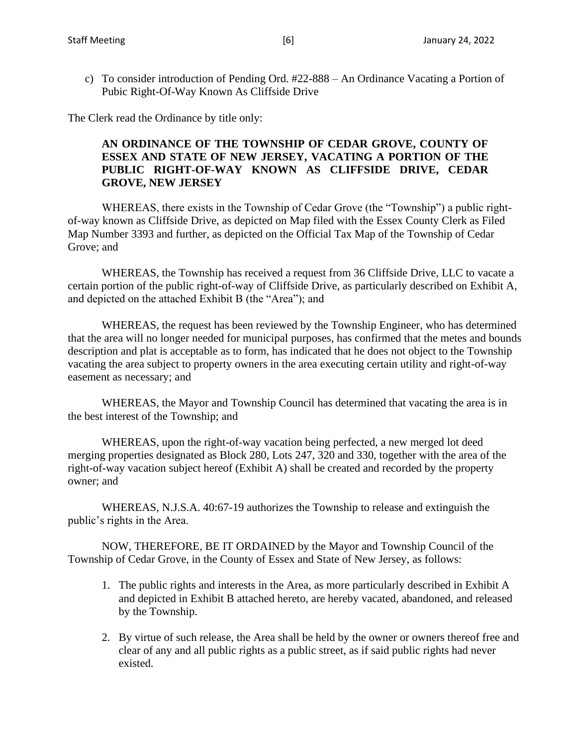c) To consider introduction of Pending Ord. #22-888 – An Ordinance Vacating a Portion of Pubic Right-Of-Way Known As Cliffside Drive

The Clerk read the Ordinance by title only:

## **AN ORDINANCE OF THE TOWNSHIP OF CEDAR GROVE, COUNTY OF ESSEX AND STATE OF NEW JERSEY, VACATING A PORTION OF THE PUBLIC RIGHT-OF-WAY KNOWN AS CLIFFSIDE DRIVE, CEDAR GROVE, NEW JERSEY**

WHEREAS, there exists in the Township of Cedar Grove (the "Township") a public rightof-way known as Cliffside Drive, as depicted on Map filed with the Essex County Clerk as Filed Map Number 3393 and further, as depicted on the Official Tax Map of the Township of Cedar Grove; and

WHEREAS, the Township has received a request from 36 Cliffside Drive, LLC to vacate a certain portion of the public right-of-way of Cliffside Drive, as particularly described on Exhibit A, and depicted on the attached Exhibit B (the "Area"); and

WHEREAS, the request has been reviewed by the Township Engineer, who has determined that the area will no longer needed for municipal purposes, has confirmed that the metes and bounds description and plat is acceptable as to form, has indicated that he does not object to the Township vacating the area subject to property owners in the area executing certain utility and right-of-way easement as necessary; and

WHEREAS, the Mayor and Township Council has determined that vacating the area is in the best interest of the Township; and

WHEREAS, upon the right-of-way vacation being perfected, a new merged lot deed merging properties designated as Block 280, Lots 247, 320 and 330, together with the area of the right-of-way vacation subject hereof (Exhibit A) shall be created and recorded by the property owner; and

WHEREAS, N.J.S.A. 40:67-19 authorizes the Township to release and extinguish the public's rights in the Area.

NOW, THEREFORE, BE IT ORDAINED by the Mayor and Township Council of the Township of Cedar Grove, in the County of Essex and State of New Jersey, as follows:

- 1. The public rights and interests in the Area, as more particularly described in Exhibit A and depicted in Exhibit B attached hereto, are hereby vacated, abandoned, and released by the Township.
- 2. By virtue of such release, the Area shall be held by the owner or owners thereof free and clear of any and all public rights as a public street, as if said public rights had never existed.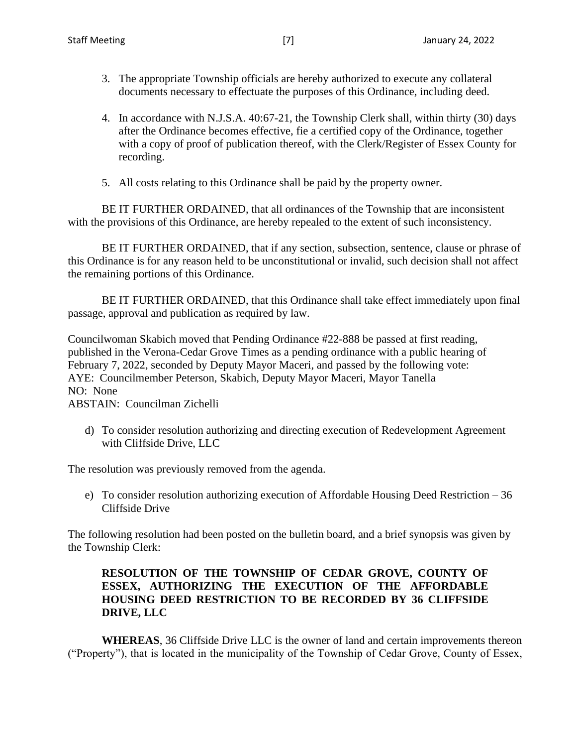- 3. The appropriate Township officials are hereby authorized to execute any collateral documents necessary to effectuate the purposes of this Ordinance, including deed.
- 4. In accordance with N.J.S.A. 40:67-21, the Township Clerk shall, within thirty (30) days after the Ordinance becomes effective, fie a certified copy of the Ordinance, together with a copy of proof of publication thereof, with the Clerk/Register of Essex County for recording.
- 5. All costs relating to this Ordinance shall be paid by the property owner.

BE IT FURTHER ORDAINED, that all ordinances of the Township that are inconsistent with the provisions of this Ordinance, are hereby repealed to the extent of such inconsistency.

BE IT FURTHER ORDAINED, that if any section, subsection, sentence, clause or phrase of this Ordinance is for any reason held to be unconstitutional or invalid, such decision shall not affect the remaining portions of this Ordinance.

BE IT FURTHER ORDAINED, that this Ordinance shall take effect immediately upon final passage, approval and publication as required by law.

Councilwoman Skabich moved that Pending Ordinance #22-888 be passed at first reading, published in the Verona-Cedar Grove Times as a pending ordinance with a public hearing of February 7, 2022, seconded by Deputy Mayor Maceri, and passed by the following vote: AYE: Councilmember Peterson, Skabich, Deputy Mayor Maceri, Mayor Tanella NO: None

ABSTAIN: Councilman Zichelli

d) To consider resolution authorizing and directing execution of Redevelopment Agreement with Cliffside Drive, LLC

The resolution was previously removed from the agenda.

e) To consider resolution authorizing execution of Affordable Housing Deed Restriction – 36 Cliffside Drive

The following resolution had been posted on the bulletin board, and a brief synopsis was given by the Township Clerk:

## **RESOLUTION OF THE TOWNSHIP OF CEDAR GROVE, COUNTY OF ESSEX, AUTHORIZING THE EXECUTION OF THE AFFORDABLE HOUSING DEED RESTRICTION TO BE RECORDED BY 36 CLIFFSIDE DRIVE, LLC**

**WHEREAS**, 36 Cliffside Drive LLC is the owner of land and certain improvements thereon ("Property"), that is located in the municipality of the Township of Cedar Grove, County of Essex,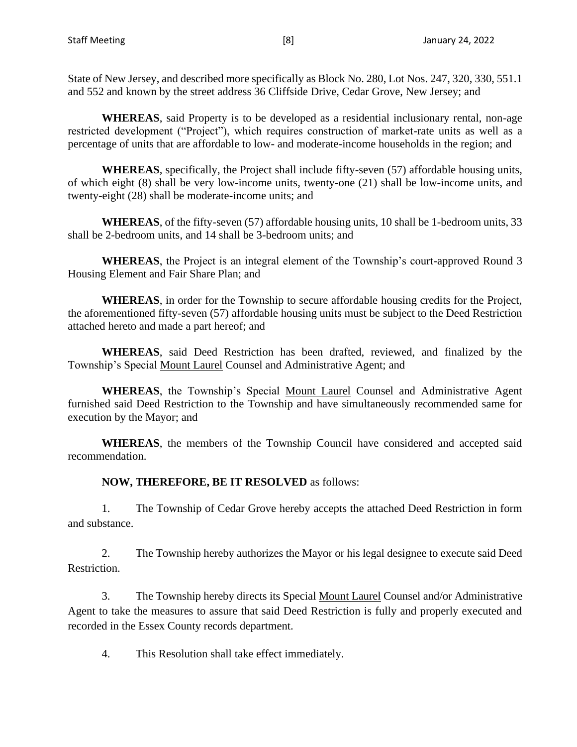State of New Jersey, and described more specifically as Block No. 280, Lot Nos. 247, 320, 330, 551.1 and 552 and known by the street address 36 Cliffside Drive, Cedar Grove, New Jersey; and

**WHEREAS**, said Property is to be developed as a residential inclusionary rental, non-age restricted development ("Project"), which requires construction of market-rate units as well as a percentage of units that are affordable to low- and moderate-income households in the region; and

**WHEREAS**, specifically, the Project shall include fifty-seven (57) affordable housing units, of which eight (8) shall be very low-income units, twenty-one (21) shall be low-income units, and twenty-eight (28) shall be moderate-income units; and

**WHEREAS**, of the fifty-seven (57) affordable housing units, 10 shall be 1-bedroom units, 33 shall be 2-bedroom units, and 14 shall be 3-bedroom units; and

**WHEREAS**, the Project is an integral element of the Township's court-approved Round 3 Housing Element and Fair Share Plan; and

**WHEREAS**, in order for the Township to secure affordable housing credits for the Project, the aforementioned fifty-seven (57) affordable housing units must be subject to the Deed Restriction attached hereto and made a part hereof; and

**WHEREAS**, said Deed Restriction has been drafted, reviewed, and finalized by the Township's Special Mount Laurel Counsel and Administrative Agent; and

**WHEREAS**, the Township's Special Mount Laurel Counsel and Administrative Agent furnished said Deed Restriction to the Township and have simultaneously recommended same for execution by the Mayor; and

**WHEREAS**, the members of the Township Council have considered and accepted said recommendation.

#### **NOW, THEREFORE, BE IT RESOLVED** as follows:

1. The Township of Cedar Grove hereby accepts the attached Deed Restriction in form and substance.

2. The Township hereby authorizes the Mayor or his legal designee to execute said Deed Restriction.

3. The Township hereby directs its Special Mount Laurel Counsel and/or Administrative Agent to take the measures to assure that said Deed Restriction is fully and properly executed and recorded in the Essex County records department.

4. This Resolution shall take effect immediately.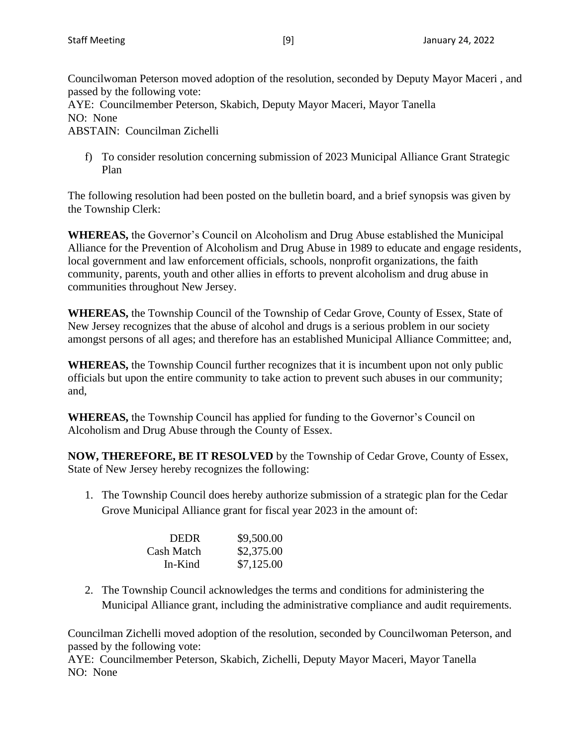Councilwoman Peterson moved adoption of the resolution, seconded by Deputy Mayor Maceri , and passed by the following vote: AYE: Councilmember Peterson, Skabich, Deputy Mayor Maceri, Mayor Tanella NO: None ABSTAIN: Councilman Zichelli

f) To consider resolution concerning submission of 2023 Municipal Alliance Grant Strategic Plan

The following resolution had been posted on the bulletin board, and a brief synopsis was given by the Township Clerk:

**WHEREAS,** the Governor's Council on Alcoholism and Drug Abuse established the Municipal Alliance for the Prevention of Alcoholism and Drug Abuse in 1989 to educate and engage residents, local government and law enforcement officials, schools, nonprofit organizations, the faith community, parents, youth and other allies in efforts to prevent alcoholism and drug abuse in communities throughout New Jersey.

**WHEREAS,** the Township Council of the Township of Cedar Grove, County of Essex, State of New Jersey recognizes that the abuse of alcohol and drugs is a serious problem in our society amongst persons of all ages; and therefore has an established Municipal Alliance Committee; and,

**WHEREAS,** the Township Council further recognizes that it is incumbent upon not only public officials but upon the entire community to take action to prevent such abuses in our community; and,

**WHEREAS,** the Township Council has applied for funding to the Governor's Council on Alcoholism and Drug Abuse through the County of Essex.

**NOW, THEREFORE, BE IT RESOLVED** by the Township of Cedar Grove, County of Essex, State of New Jersey hereby recognizes the following:

1. The Township Council does hereby authorize submission of a strategic plan for the Cedar Grove Municipal Alliance grant for fiscal year 2023 in the amount of:

| <b>DEDR</b> | \$9,500.00 |
|-------------|------------|
| Cash Match  | \$2,375.00 |
| In-Kind     | \$7,125.00 |

2. The Township Council acknowledges the terms and conditions for administering the Municipal Alliance grant, including the administrative compliance and audit requirements.

Councilman Zichelli moved adoption of the resolution, seconded by Councilwoman Peterson, and passed by the following vote:

AYE: Councilmember Peterson, Skabich, Zichelli, Deputy Mayor Maceri, Mayor Tanella NO: None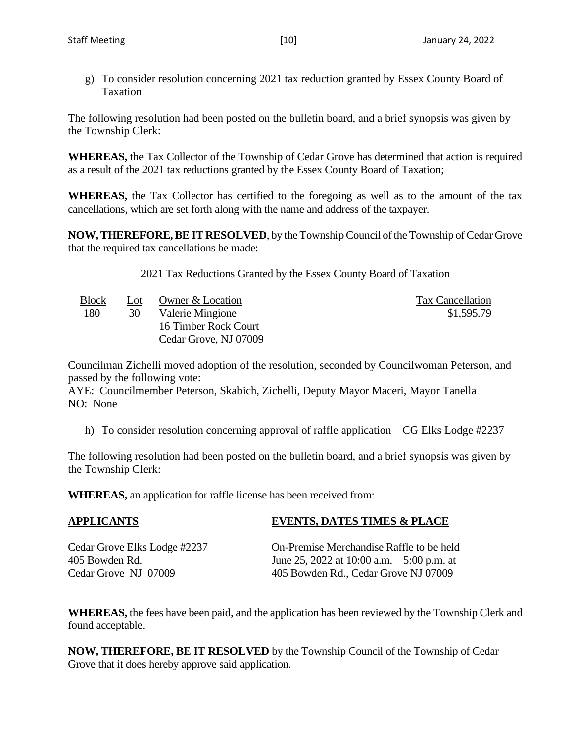The following resolution had been posted on the bulletin board, and a brief synopsis was given by the Township Clerk:

**WHEREAS,** the Tax Collector of the Township of Cedar Grove has determined that action is required as a result of the 2021 tax reductions granted by the Essex County Board of Taxation;

**WHEREAS,** the Tax Collector has certified to the foregoing as well as to the amount of the tax cancellations, which are set forth along with the name and address of the taxpayer.

**NOW, THEREFORE, BE IT RESOLVED**, by the Township Council of the Township of Cedar Grove that the required tax cancellations be made:

2021 Tax Reductions Granted by the Essex County Board of Taxation

Block Lot Owner & Location Tax Cancellation 180 30 Valerie Mingione 16 Timber Rock Court Cedar Grove, NJ 07009

\$1,595.79

Councilman Zichelli moved adoption of the resolution, seconded by Councilwoman Peterson, and passed by the following vote:

AYE: Councilmember Peterson, Skabich, Zichelli, Deputy Mayor Maceri, Mayor Tanella NO: None

h) To consider resolution concerning approval of raffle application – CG Elks Lodge #2237

The following resolution had been posted on the bulletin board, and a brief synopsis was given by the Township Clerk:

**WHEREAS,** an application for raffle license has been received from:

# **APPLICANTS EVENTS, DATES TIMES & PLACE**

Cedar Grove Elks Lodge #2237 On-Premise Merchandise Raffle to be held 405 Bowden Rd. June 25, 2022 at 10:00 a.m. – 5:00 p.m. at Cedar Grove NJ 07009 405 Bowden Rd., Cedar Grove NJ 07009

**WHEREAS,** the fees have been paid, and the application has been reviewed by the Township Clerk and found acceptable.

**NOW, THEREFORE, BE IT RESOLVED** by the Township Council of the Township of Cedar Grove that it does hereby approve said application.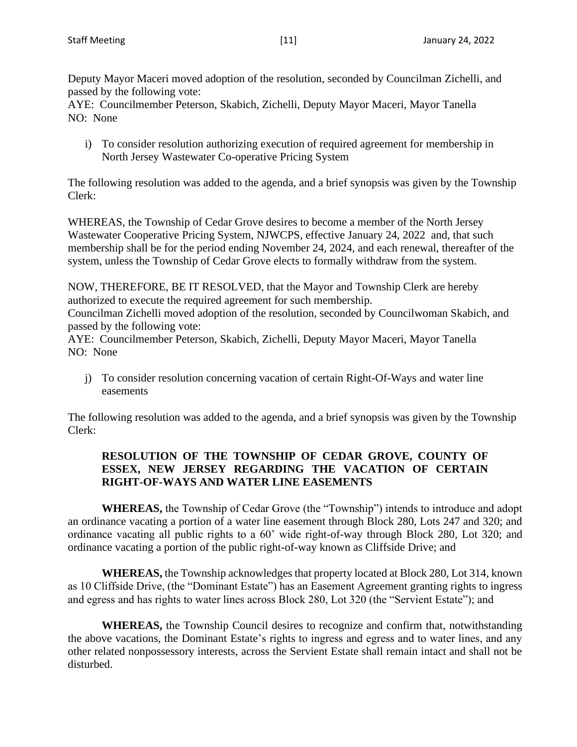Deputy Mayor Maceri moved adoption of the resolution, seconded by Councilman Zichelli, and passed by the following vote:

AYE: Councilmember Peterson, Skabich, Zichelli, Deputy Mayor Maceri, Mayor Tanella NO: None

i) To consider resolution authorizing execution of required agreement for membership in North Jersey Wastewater Co-operative Pricing System

The following resolution was added to the agenda, and a brief synopsis was given by the Township Clerk:

WHEREAS, the Township of Cedar Grove desires to become a member of the North Jersey Wastewater Cooperative Pricing System, NJWCPS, effective January 24, 2022 and, that such membership shall be for the period ending November 24, 2024, and each renewal, thereafter of the system, unless the Township of Cedar Grove elects to formally withdraw from the system.

NOW, THEREFORE, BE IT RESOLVED, that the Mayor and Township Clerk are hereby authorized to execute the required agreement for such membership.

Councilman Zichelli moved adoption of the resolution, seconded by Councilwoman Skabich, and passed by the following vote:

AYE: Councilmember Peterson, Skabich, Zichelli, Deputy Mayor Maceri, Mayor Tanella NO: None

j) To consider resolution concerning vacation of certain Right-Of-Ways and water line easements

The following resolution was added to the agenda, and a brief synopsis was given by the Township Clerk:

# **RESOLUTION OF THE TOWNSHIP OF CEDAR GROVE, COUNTY OF ESSEX, NEW JERSEY REGARDING THE VACATION OF CERTAIN RIGHT-OF-WAYS AND WATER LINE EASEMENTS**

**WHEREAS,** the Township of Cedar Grove (the "Township") intends to introduce and adopt an ordinance vacating a portion of a water line easement through Block 280, Lots 247 and 320; and ordinance vacating all public rights to a 60' wide right-of-way through Block 280, Lot 320; and ordinance vacating a portion of the public right-of-way known as Cliffside Drive; and

**WHEREAS,** the Township acknowledges that property located at Block 280, Lot 314, known as 10 Cliffside Drive, (the "Dominant Estate") has an Easement Agreement granting rights to ingress and egress and has rights to water lines across Block 280, Lot 320 (the "Servient Estate"); and

**WHEREAS,** the Township Council desires to recognize and confirm that, notwithstanding the above vacations, the Dominant Estate's rights to ingress and egress and to water lines, and any other related nonpossessory interests, across the Servient Estate shall remain intact and shall not be disturbed.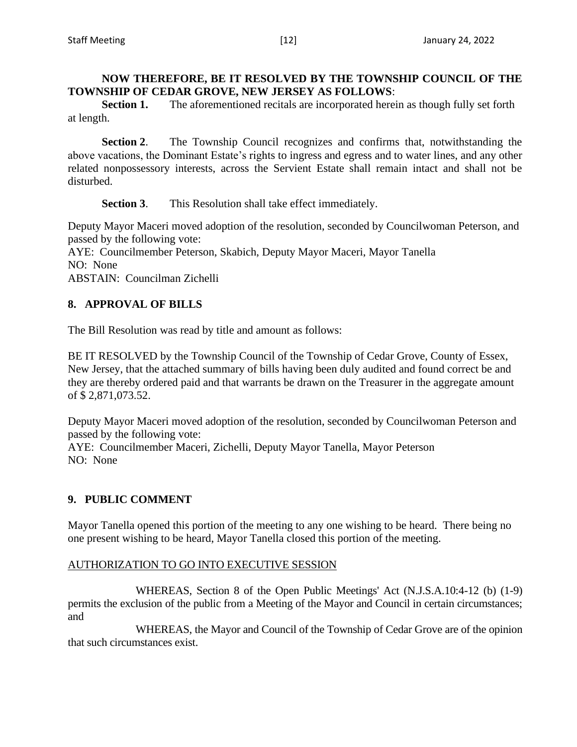**Section 1.** The aforementioned recitals are incorporated herein as though fully set forth at length.

**Section 2**. The Township Council recognizes and confirms that, notwithstanding the above vacations, the Dominant Estate's rights to ingress and egress and to water lines, and any other related nonpossessory interests, across the Servient Estate shall remain intact and shall not be disturbed.

**Section 3**. This Resolution shall take effect immediately.

Deputy Mayor Maceri moved adoption of the resolution, seconded by Councilwoman Peterson, and passed by the following vote:

AYE: Councilmember Peterson, Skabich, Deputy Mayor Maceri, Mayor Tanella NO: None

ABSTAIN: Councilman Zichelli

# **8. APPROVAL OF BILLS**

The Bill Resolution was read by title and amount as follows:

BE IT RESOLVED by the Township Council of the Township of Cedar Grove, County of Essex, New Jersey, that the attached summary of bills having been duly audited and found correct be and they are thereby ordered paid and that warrants be drawn on the Treasurer in the aggregate amount of \$ 2,871,073.52.

Deputy Mayor Maceri moved adoption of the resolution, seconded by Councilwoman Peterson and passed by the following vote:

AYE: Councilmember Maceri, Zichelli, Deputy Mayor Tanella, Mayor Peterson NO: None

# **9. PUBLIC COMMENT**

Mayor Tanella opened this portion of the meeting to any one wishing to be heard. There being no one present wishing to be heard, Mayor Tanella closed this portion of the meeting.

# AUTHORIZATION TO GO INTO EXECUTIVE SESSION

WHEREAS, Section 8 of the Open Public Meetings' Act (N.J.S.A.10:4-12 (b) (1-9) permits the exclusion of the public from a Meeting of the Mayor and Council in certain circumstances; and

WHEREAS, the Mayor and Council of the Township of Cedar Grove are of the opinion that such circumstances exist.